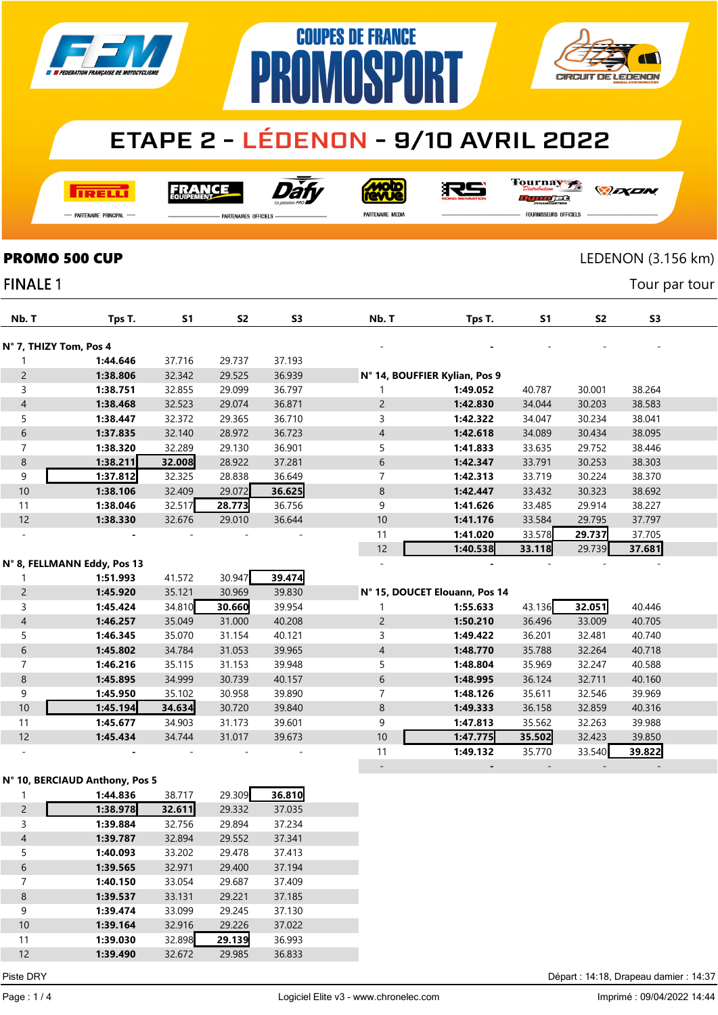

# **PROMOSPORT ETAPE 2 - LÉDENON - 9/10 AVRIL 2022**

**COUPES DE FRANCE** 

**RELL** 

Dàt FRANCE

沢ら

Tournay 

*DEXEN* 

**CIRCUIT DE LEDENON** 

-<br>Partenaire Principal

**FINALE 1** 

.<br>PARTENAIRES OFFICIELS

PARTENAIRE MEDIA

- - - - -

FOURNISSEURS OFFICIELS

## **PROMO 500 CUP** LEDENON (3.156 km)

Tour par tour

| Nb. T                  | Tps T.                      | S <sub>1</sub> | S <sub>2</sub> | S <sub>3</sub> | Nb. T          | Tps T.                        | S <sub>1</sub> | S <sub>2</sub> | S <sub>3</sub> |  |
|------------------------|-----------------------------|----------------|----------------|----------------|----------------|-------------------------------|----------------|----------------|----------------|--|
| N° 7, THIZY Tom, Pos 4 |                             |                |                |                |                |                               |                |                |                |  |
|                        | 1:44.646                    | 37.716         | 29.737         | 37.193         |                |                               |                |                |                |  |
| $\overline{c}$         | 1:38.806                    | 32.342         | 29.525         | 36.939         |                | N° 14, BOUFFIER Kylian, Pos 9 |                |                |                |  |
| 3                      | 1:38.751                    | 32.855         | 29.099         | 36.797         |                | 1:49.052                      | 40.787         | 30.001         | 38.264         |  |
| $\overline{4}$         | 1:38.468                    | 32.523         | 29.074         | 36.871         | $\overline{2}$ | 1:42.830                      | 34.044         | 30.203         | 38.583         |  |
| 5                      | 1:38.447                    | 32.372         | 29.365         | 36.710         | 3              | 1:42.322                      | 34.047         | 30.234         | 38.041         |  |
| 6                      | 1:37.835                    | 32.140         | 28.972         | 36.723         | $\overline{4}$ | 1:42.618                      | 34.089         | 30.434         | 38.095         |  |
| $\overline{7}$         | 1:38.320                    | 32.289         | 29.130         | 36.901         | 5              | 1:41.833                      | 33.635         | 29.752         | 38.446         |  |
| 8                      | 1:38.211                    | 32.008         | 28.922         | 37.281         | 6              | 1:42.347                      | 33.791         | 30.253         | 38.303         |  |
| 9                      | 1:37.812                    | 32.325         | 28.838         | 36.649         | $\overline{7}$ | 1:42.313                      | 33.719         | 30.224         | 38.370         |  |
| $10$                   | 1:38.106                    | 32.409         | 29.072         | 36.625         | $\,8\,$        | 1:42.447                      | 33.432         | 30.323         | 38.692         |  |
| 11                     | 1:38.046                    | 32.517         | 28.773         | 36.756         | 9              | 1:41.626                      | 33.485         | 29.914         | 38.227         |  |
| 12                     | 1:38.330                    | 32.676         | 29.010         | 36.644         | 10             | 1:41.176                      | 33.584         | 29.795         | 37.797         |  |
|                        |                             |                |                |                | 11             | 1:41.020                      | 33.578         | 29.737         | 37.705         |  |
|                        |                             |                |                |                | 12             | 1:40.538                      | 33.118         | 29.739         | 37.681         |  |
|                        | N° 8, FELLMANN Eddy, Pos 13 |                |                |                |                |                               |                |                |                |  |
|                        | 1:51.993                    | 41.572         | 30.947         | 39.474         |                |                               |                |                |                |  |
| $\overline{c}$         | 1:45.920                    | 35.121         | 30.969         | 39.830         |                | N° 15, DOUCET Elouann, Pos 14 |                |                |                |  |
| 3                      | 1:45.424                    | 34.810         | 30.660         | 39.954         |                | 1:55.633                      | 43.136         | 32.051         | 40.446         |  |
| $\overline{4}$         | 1:46.257                    | 35.049         | 31.000         | 40.208         | $\overline{c}$ | 1:50.210                      | 36.496         | 33.009         | 40.705         |  |
| 5                      | 1:46.345                    | 35.070         | 31.154         | 40.121         | 3              | 1:49.422                      | 36.201         | 32.481         | 40.740         |  |
| 6                      | 1:45.802                    | 34.784         | 31.053         | 39.965         | $\overline{4}$ | 1:48.770                      | 35.788         | 32.264         | 40.718         |  |
| $\overline{7}$         | 1:46.216                    | 35.115         | 31.153         | 39.948         | 5              | 1:48.804                      | 35.969         | 32.247         | 40.588         |  |
| $\bf 8$                | 1:45.895                    | 34.999         | 30.739         | 40.157         | $\sqrt{6}$     | 1:48.995                      | 36.124         | 32.711         | 40.160         |  |
| 9                      | 1:45.950                    | 35.102         | 30.958         | 39.890         | $\overline{7}$ | 1:48.126                      | 35.611         | 32.546         | 39.969         |  |
| 10                     | 1:45.194                    | 34.634         | 30.720         | 39.840         | $\,$ 8 $\,$    | 1:49.333                      | 36.158         | 32.859         | 40.316         |  |
| 11                     | 1:45.677                    | 34.903         | 31.173         | 39.601         | 9              | 1:47.813                      | 35.562         | 32.263         | 39.988         |  |
| 12                     | 1:45.434                    | 34.744         | 31.017         | 39.673         | 10             | 1:47.775                      | 35.502         | 32.423         | 39.850         |  |
|                        |                             |                |                |                | 11             | 1:49.132                      | 35.770         | 33.540         | 39.822         |  |

#### N° 10, BERCIAUD Anthony, Pos 5

|                | 1:44.836 | 38.717 | 29.309 | 36.810 |  |
|----------------|----------|--------|--------|--------|--|
| $\overline{2}$ | 1:38.978 | 32.611 | 29.332 | 37.035 |  |
| 3              | 1:39.884 | 32.756 | 29.894 | 37.234 |  |
| 4              | 1:39.787 | 32.894 | 29.552 | 37.341 |  |
| 5              | 1:40.093 | 33.202 | 29.478 | 37.413 |  |
| 6              | 1:39.565 | 32.971 | 29.400 | 37.194 |  |
| 7              | 1:40.150 | 33.054 | 29.687 | 37.409 |  |
| 8              | 1:39.537 | 33.131 | 29.221 | 37.185 |  |
| 9              | 1:39.474 | 33.099 | 29.245 | 37.130 |  |
| 10             | 1:39.164 | 32.916 | 29.226 | 37.022 |  |
| 11             | 1:39.030 | 32.898 | 29.139 | 36.993 |  |
| 12             | 1:39.490 | 32.672 | 29.985 | 36.833 |  |

Piste DRY Départ : 14:18, Drapeau damier : 14:37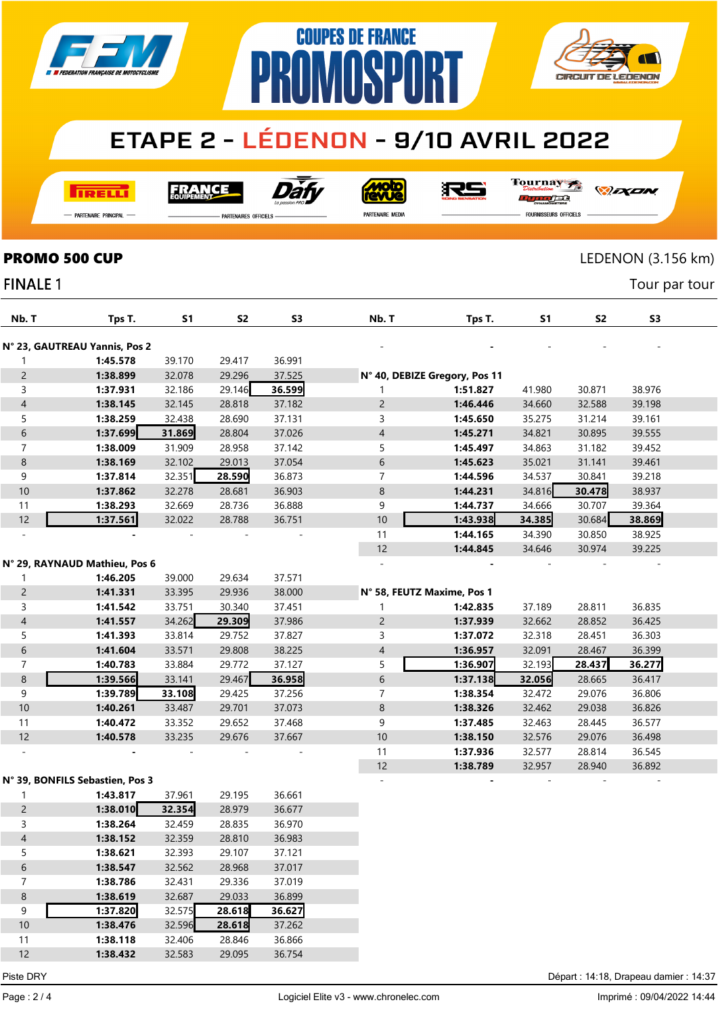

## $\bf{p}$ **ETAPE 2 - LÉDENON - 9/10 AVRIL 2022**

**COUPES DE FRANCE** 

**TRELL** 

Dài **FRANCE** 

**Moto**<br>AVUe

沢ら

Tournay  $\overline{1111}$ orse

*DEXEN* 

**CIRCUIT DE LEDENON** 

— Partenaire Principal

**PARTENAIRES OFFICIELS** 

PARTENAIRE MEDIA

**FOURNISSEURS OFFICIELS** 

 $\overline{\Lambda}$ 

### **PROMO 500 CUP** LEDENON (3.156 km)

N° 23, GAUTREAU Yannis, Pos 2

**FINALE 1** 

| INALE 1         |                                                             |           |           |                |                |                                                                                                                                                                                                                                                                                                                                                                                      |           |           | Tour par tour  |  |
|-----------------|-------------------------------------------------------------|-----------|-----------|----------------|----------------|--------------------------------------------------------------------------------------------------------------------------------------------------------------------------------------------------------------------------------------------------------------------------------------------------------------------------------------------------------------------------------------|-----------|-----------|----------------|--|
| Nb. T           | Tps T.                                                      | <b>S1</b> | <b>S2</b> | S <sub>3</sub> | Nb. T          | Tps T.                                                                                                                                                                                                                                                                                                                                                                               | <b>S1</b> | <b>S2</b> | S <sub>3</sub> |  |
|                 | <sup>o</sup> 23, GAUTREAU Yannis, Pos 2                     |           |           |                |                |                                                                                                                                                                                                                                                                                                                                                                                      |           |           |                |  |
|                 | 1:45.578                                                    | 39.170    | 29.417    | 36.991         |                |                                                                                                                                                                                                                                                                                                                                                                                      |           |           |                |  |
| $\mathbf{2}$    | 1:38.899                                                    | 32.078    | 29.296    | 37.525         |                | N° 40, DEBIZE Gregory, Pos 11                                                                                                                                                                                                                                                                                                                                                        |           |           |                |  |
| 3               | 1:37.931                                                    | 32.186    | 29.146    | 36.599         |                | 1:51.827                                                                                                                                                                                                                                                                                                                                                                             | 41.980    | 30.871    | 38.976         |  |
| 4               | 1:38.145                                                    | 32.145    | 28.818    | 37.182         | $\overline{c}$ | 1:46.446                                                                                                                                                                                                                                                                                                                                                                             | 34.660    | 32.588    | 39.198         |  |
| 5               | 1:38.259                                                    | 32.438    | 28.690    | 37.131         | 3              | 1:45.650                                                                                                                                                                                                                                                                                                                                                                             | 35.275    | 31.214    | 39.161         |  |
| 6               | 1:37.699                                                    | 31.869    | 28.804    | 37.026         | $\overline{4}$ | 1:45.271                                                                                                                                                                                                                                                                                                                                                                             | 34.821    | 30.895    | 39.555         |  |
|                 | 1:38.009                                                    | 31.909    | 28.958    | 37.142         | 5              | 1:45.497                                                                                                                                                                                                                                                                                                                                                                             | 34.863    | 31.182    | 39.452         |  |
| 8               | 1:38.169                                                    | 32.102    | 29.013    | 37.054         | 6              | 1:45.623                                                                                                                                                                                                                                                                                                                                                                             | 35.021    | 31.141    | 39.461         |  |
| 9               | 1:37.814                                                    | 32.351    | 28.590    | 36.873         |                | 1:44.596                                                                                                                                                                                                                                                                                                                                                                             | 34.537    | 30.841    | 39.218         |  |
| 10 <sup>°</sup> | 1:37.862                                                    | 32.278    | 28.681    | 36.903         | 8              | 1:44.231                                                                                                                                                                                                                                                                                                                                                                             | 34.816    | 30.478    | 38.937         |  |
| 11              | 1:38.293                                                    | 32.669    | 28.736    | 36.888         | 9              | 1:44.737                                                                                                                                                                                                                                                                                                                                                                             | 34.666    | 30.707    | 39.364         |  |
| 12              | 1:37.561                                                    | 32.022    | 28.788    | 36.751         | 10             | 1:43.938                                                                                                                                                                                                                                                                                                                                                                             | 34.385    | 30.684    | 38.869         |  |
|                 |                                                             |           |           |                | 11             | 1:44.165                                                                                                                                                                                                                                                                                                                                                                             | 34.390    | 30.850    | 38.925         |  |
|                 |                                                             |           |           |                | 12             | 1:44.845                                                                                                                                                                                                                                                                                                                                                                             | 34.646    | 30.974    | 39.225         |  |
|                 | ° 29, RAYNAUD Mathieu, Pos 6                                |           |           |                |                |                                                                                                                                                                                                                                                                                                                                                                                      |           |           |                |  |
|                 | 1:46.205                                                    | 39.000    | 29.634    | 37.571         |                |                                                                                                                                                                                                                                                                                                                                                                                      |           |           |                |  |
| $\overline{2}$  | 1:41.331                                                    | 33.395    | 29.936    | 38.000         |                | N° 58, FEUTZ Maxime, Pos 1                                                                                                                                                                                                                                                                                                                                                           |           |           |                |  |
|                 | $\overline{a}$ $\overline{a}$ $\overline{a}$ $\overline{a}$ | 2277      | 20.210    | 27.454         |                | $\overline{a}$ $\overline{a}$ $\overline{a}$ $\overline{a}$ $\overline{a}$ $\overline{a}$ $\overline{b}$ $\overline{c}$ $\overline{c}$ $\overline{c}$ $\overline{c}$ $\overline{c}$ $\overline{c}$ $\overline{c}$ $\overline{c}$ $\overline{c}$ $\overline{c}$ $\overline{c}$ $\overline{c}$ $\overline{c}$ $\overline{c}$ $\overline{c}$ $\overline{c}$ $\overline{c}$ $\overline{$ | 27.100    | 20.011    | 20000          |  |

 1:38.789 32.957 28.940 36.892 - - - - -

| $\mathbf{2}$ | 1:41.331 | 33.395 | 29.936 | 38.000 | N° 58, FEUTZ Maxime, Pos 1 |          |        |        |        |  |
|--------------|----------|--------|--------|--------|----------------------------|----------|--------|--------|--------|--|
|              | 1:41.542 | 33.751 | 30.340 | 37.451 |                            | 1:42.835 | 37.189 | 28.811 | 36.835 |  |
| 4            | 1:41.557 | 34.262 | 29.309 | 37.986 |                            | 1:37.939 | 32.662 | 28.852 | 36.425 |  |
|              | 1:41.393 | 33.814 | 29.752 | 37.827 |                            | 1:37.072 | 32.318 | 28.451 | 36.303 |  |
| 6            | 1:41.604 | 33.571 | 29.808 | 38.225 | $\overline{4}$             | 1:36.957 | 32.091 | 28.467 | 36.399 |  |
|              | 1:40.783 | 33.884 | 29.772 | 37.127 |                            | 1:36.907 | 32.193 | 28.437 | 36.277 |  |
|              |          |        |        |        |                            |          |        |        |        |  |
| 8            | 1:39.566 | 33.141 | 29.467 | 36.958 | 6                          | 1:37.138 | 32.056 | 28.665 | 36.417 |  |
| 9            | 1:39.789 | 33.108 | 29.425 | 37.256 |                            | 1:38.354 | 32.472 | 29.076 | 36.806 |  |
| 10           | 1:40.261 | 33.487 | 29.701 | 37.073 | 8                          | 1:38.326 | 32.462 | 29.038 | 36.826 |  |
| 11           | 1:40.472 | 33.352 | 29.652 | 37.468 | 9                          | 1:37.485 | 32.463 | 28.445 | 36.577 |  |
| 12           | 1:40.578 | 33.235 | 29.676 | 37.667 | 10                         | 1:38.150 | 32.576 | 29.076 | 36.498 |  |

#### N° 39, BONFILS Sebastien, Pos 3

N° 29, RAYNAUD Mathieu, Pos 6

|    | 1:43.817 | 37.961 | 29.195 | 36.661 |  |
|----|----------|--------|--------|--------|--|
| 2  | 1:38.010 | 32.354 | 28.979 | 36.677 |  |
| 3  | 1:38.264 | 32.459 | 28.835 | 36.970 |  |
| 4  | 1:38.152 | 32.359 | 28.810 | 36.983 |  |
| 5  | 1:38.621 | 32.393 | 29.107 | 37.121 |  |
| 6  | 1:38.547 | 32.562 | 28.968 | 37.017 |  |
| 7  | 1:38.786 | 32.431 | 29.336 | 37.019 |  |
| 8  | 1:38.619 | 32.687 | 29.033 | 36.899 |  |
| 9  | 1:37.820 | 32.575 | 28.618 | 36.627 |  |
| 10 | 1:38.476 | 32.596 | 28.618 | 37.262 |  |
| 11 | 1:38.118 | 32.406 | 28.846 | 36.866 |  |
| 12 | 1:38.432 | 32.583 | 29.095 | 36.754 |  |

Piste DRY Départ : 14:18, Drapeau damier : 14:37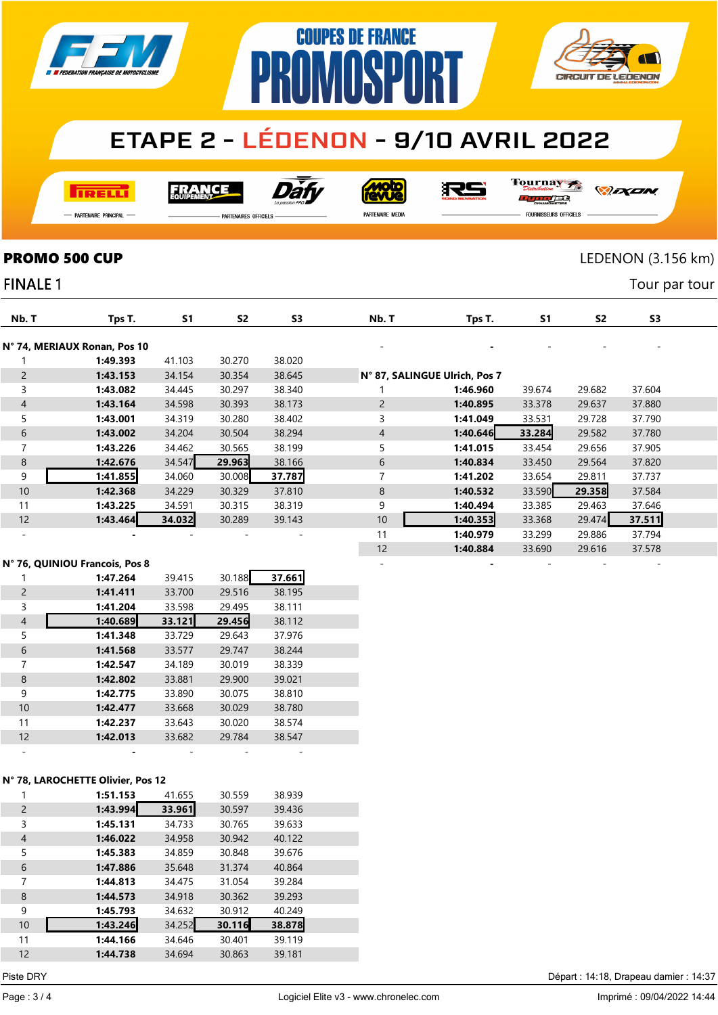

## **ETAPE 2 - LÉDENON - 9/10 AVRIL 2022**

**COUPES DE FRANCE** 

**AMASPA** 

**I तत्वच**र्च

Dàt FRANCE



RS

Tournay ra

*DEXEN* 

**CIRCUIT DE LEDENON** 

- Partenaire Principal

**FINALE 1** 

**PARTENAIRES OFFICIELS** 

PR

PARTENAIRE MEDIA

FOURNISSEURS OFFICIELS

### **PROMO 500 CUP** LEDENON (3.156 km)

Tour par tour

| Nb. T                    |                                | S1     | S <sub>2</sub> | S3                           |                |                               | S1     | S <sub>2</sub> | S <sub>3</sub> |  |
|--------------------------|--------------------------------|--------|----------------|------------------------------|----------------|-------------------------------|--------|----------------|----------------|--|
|                          | Tps T.                         |        |                |                              | Nb. T          | Tps T.                        |        |                |                |  |
|                          | N° 74, MERIAUX Ronan, Pos 10   |        |                |                              |                |                               |        |                |                |  |
|                          | 1:49.393                       | 41.103 | 30.270         | 38.020                       |                |                               |        |                |                |  |
| $\overline{c}$           | 1:43.153                       | 34.154 | 30.354         | 38.645                       |                | N° 87, SALINGUE Ulrich, Pos 7 |        |                |                |  |
| 3                        | 1:43.082                       | 34.445 | 30.297         | 38.340                       |                | 1:46.960                      | 39.674 | 29.682         | 37.604         |  |
| $\overline{4}$           | 1:43.164                       | 34.598 | 30.393         | 38.173                       | $\overline{2}$ | 1:40.895                      | 33.378 | 29.637         | 37.880         |  |
| 5                        | 1:43.001                       | 34.319 | 30.280         | 38.402                       | 3              | 1:41.049                      | 33.531 | 29.728         | 37.790         |  |
| 6                        | 1:43.002                       | 34.204 | 30.504         | 38.294                       | $\overline{4}$ | 1:40.646                      | 33.284 | 29.582         | 37.780         |  |
| 7                        | 1:43.226                       | 34.462 | 30.565         | 38.199                       | 5              | 1:41.015                      | 33.454 | 29.656         | 37.905         |  |
| 8                        | 1:42.676                       | 34.547 | 29.963         | 38.166                       | 6              | 1:40.834                      | 33.450 | 29.564         | 37.820         |  |
| 9                        | 1:41.855                       | 34.060 | 30.008         | 37.787                       | 7              | 1:41.202                      | 33.654 | 29.811         | 37.737         |  |
| 10                       | 1:42.368                       | 34.229 | 30.329         | 37.810                       | 8              | 1:40.532                      | 33.590 | 29.358         | 37.584         |  |
| 11                       | 1:43.225                       | 34.591 | 30.315         | 38.319                       | 9              | 1:40.494                      | 33.385 | 29.463         | 37.646         |  |
| 12                       | 1:43.464                       | 34.032 | 30.289         | 39.143                       | 10             | 1:40.353                      | 33.368 | 29.474         | 37.511         |  |
| $\overline{\phantom{a}}$ |                                |        |                | $\qquad \qquad \blacksquare$ | 11             | 1:40.979                      | 33.299 | 29.886         | 37.794         |  |
|                          |                                |        |                |                              | 12             | 1:40.884                      | 33.690 | 29.616         | 37.578         |  |
|                          | N° 76, QUINIOU Francois, Pos 8 |        |                |                              |                |                               |        |                |                |  |

|                | N° 76, QUINIOU Francois, Pos 8 |        |        |        |  |
|----------------|--------------------------------|--------|--------|--------|--|
|                | 1:47.264                       | 39.415 | 30.188 | 37.661 |  |
| $\overline{2}$ | 1:41.411                       | 33.700 | 29.516 | 38.195 |  |
| 3              | 1:41.204                       | 33.598 | 29.495 | 38.111 |  |
| $\overline{4}$ | 1:40.689                       | 33.121 | 29.456 | 38.112 |  |
| 5              | 1:41.348                       | 33.729 | 29.643 | 37.976 |  |
| 6              | 1:41.568                       | 33.577 | 29.747 | 38.244 |  |
| 7              | 1:42.547                       | 34.189 | 30.019 | 38.339 |  |
| 8              | 1:42.802                       | 33.881 | 29.900 | 39.021 |  |
| 9              | 1:42.775                       | 33.890 | 30.075 | 38.810 |  |
| 10             | 1:42.477                       | 33.668 | 30.029 | 38.780 |  |
| 11             | 1:42.237                       | 33.643 | 30.020 | 38.574 |  |
| 12             | 1:42.013                       | 33.682 | 29.784 | 38.547 |  |
|                |                                |        |        |        |  |

#### N° 78, LAROCHETTE Olivier, Pos 12

|                | 1:51.153 | 41.655 | 30.559 | 38.939 |  |
|----------------|----------|--------|--------|--------|--|
| 2              | 1:43.994 | 33.961 | 30.597 | 39.436 |  |
| 3              | 1:45.131 | 34.733 | 30.765 | 39.633 |  |
| $\overline{4}$ | 1:46.022 | 34.958 | 30.942 | 40.122 |  |
| 5              | 1:45.383 | 34.859 | 30.848 | 39.676 |  |
| 6              | 1:47.886 | 35.648 | 31.374 | 40.864 |  |
| 7              | 1:44.813 | 34.475 | 31.054 | 39.284 |  |
| 8              | 1:44.573 | 34.918 | 30.362 | 39.293 |  |
| 9              | 1:45.793 | 34.632 | 30.912 | 40.249 |  |
| 10             | 1:43.246 | 34.252 | 30.116 | 38.878 |  |
| 11             | 1:44.166 | 34.646 | 30.401 | 39.119 |  |
| 12             | 1:44.738 | 34.694 | 30.863 | 39.181 |  |

Piste DRY Départ : 14:18, Drapeau damier : 14:37